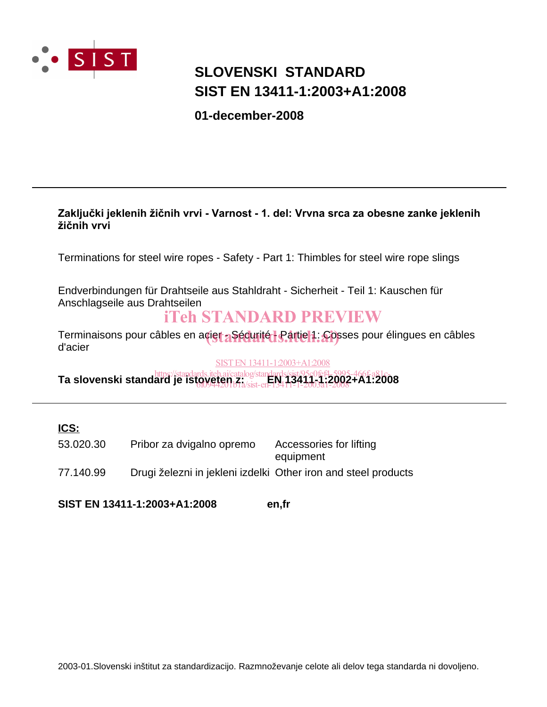

# **SIST EN 13411-1:2003+A1:2008 SLOVENSKI STANDARD**

**01-december-2008**

#### Zaključki jeklenih žičnih vrvi - Varnost - 1. del: Vrvna srca za obesne zanke jeklenih žičnih vrvi

Terminations for steel wire ropes - Safety - Part 1: Thimbles for steel wire rope slings

Endverbindungen für Drahtseile aus Stahldraht - Sicherheit - Teil 1: Kauschen für Anschlagseile aus Drahtseilen

# iTeh STANDARD PREVIEW

Terminaisons pour câbles en acier a Sécurité - Partie 1: Cosses pour élingues en câbles<br>d'acier d'acier

#### SIST EN 13411-1:2003+A1:2008

**Ta slovenski standard je istoveten z:** *Englished standards.iteh.ai/catalog/standards/sist/95c0fef4-5995-466f-a81c-***<br>Ta slovenski standard je ist<u>oveten z:** *kisten* **BM</u>113414-1;2002+A1:2008** 6f0944201b1a/sist-en-13411-1-2003a1-2008

#### **ICS:**

| 53.020.30 | Pribor za dvigalno opremo                                      | Accessories for lifting<br>equipment |
|-----------|----------------------------------------------------------------|--------------------------------------|
| 77.140.99 | Drugi železni in jekleni izdelki Other iron and steel products |                                      |

**SIST EN 13411-1:2003+A1:2008 en,fr**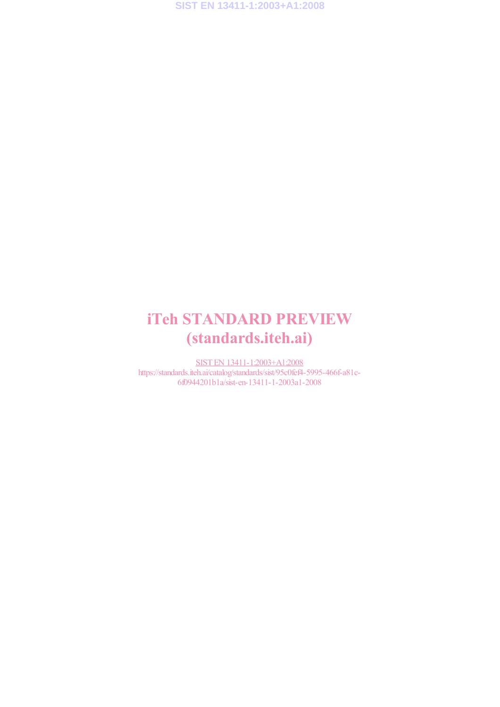# iTeh STANDARD PREVIEW (standards.iteh.ai)

SIST EN 13411-1:2003+A1:2008 https://standards.iteh.ai/catalog/standards/sist/95c0fef4-5995-466f-a81c-6f0944201b1a/sist-en-13411-1-2003a1-2008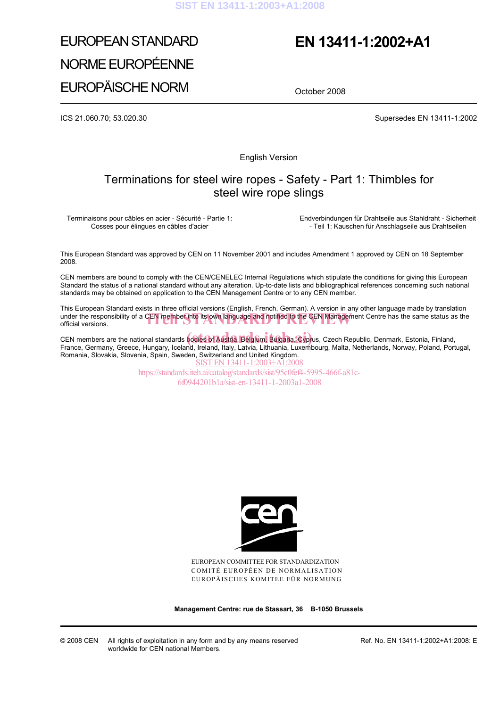# EUROPEAN STANDARD NORME EUROPÉENNE EUROPÄISCHE NORM

# **EN 13411-1:2002+A1**

October 2008

ICS 21.060.70; 53.020.30 Supersedes EN 13411-1:2002

English Version

## Terminations for steel wire ropes - Safety - Part 1: Thimbles for steel wire rope slings

Terminaisons pour câbles en acier - Sécurité - Partie 1: Cosses pour élingues en câbles d'acier

 Endverbindungen für Drahtseile aus Stahldraht - Sicherheit - Teil 1: Kauschen für Anschlagseile aus Drahtseilen

This European Standard was approved by CEN on 11 November 2001 and includes Amendment 1 approved by CEN on 18 September 2008.

CEN members are bound to comply with the CEN/CENELEC Internal Regulations which stipulate the conditions for giving this European Standard the status of a national standard without any alteration. Up-to-date lists and bibliographical references concerning such national standards may be obtained on application to the CEN Management Centre or to any CEN member.

This European Standard exists in three official versions (English, French, German). A version in any other language made by translation under the responsibility of a CEN member into its own language and notified to the CEN Management Centre has the same status as the official versions. official versions.

CEN members are the national standards **bodies of Austria, Belgium, Bulgaria, Cypr**us, Czech Republic, Denmark, Estonia, Finland,<br>Erange, Cermany, Creese, Hungany, Jeeland, Ireland, Italy, Labyja, Lithuania, Luxembeurg, Ma France, Germany, Greece, Hungary, Iceland, Ireland, Italy, Latvia, Lithuania, Luxembourg, Malta, Netherlands, Norway, Poland, Portugal, Romania, Slovakia, Slovenia, Spain, Sweden, Switzerland and United Kingdom. SIST EN 13411-1:2003+A1:2008

https://standards.iteh.ai/catalog/standards/sist/95c0fef4-5995-466f-a81c-6f0944201b1a/sist-en-13411-1-2003a1-2008



EUROPEAN COMMITTEE FOR STANDARDIZATION COMITÉ EUROPÉEN DE NORMALISATION EUROPÄISCHES KOMITEE FÜR NORMUNG

**Management Centre: rue de Stassart, 36 B-1050 Brussels**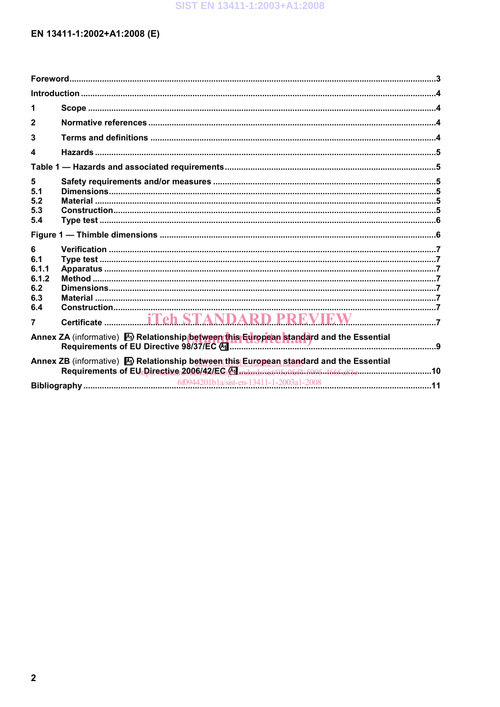## EN 13411-1:2002+A1:2008 (E)

| 1                                                                                                                                                                                                      |  |  |  |  |  |  |
|--------------------------------------------------------------------------------------------------------------------------------------------------------------------------------------------------------|--|--|--|--|--|--|
| $\mathbf{2}$                                                                                                                                                                                           |  |  |  |  |  |  |
| 3                                                                                                                                                                                                      |  |  |  |  |  |  |
| 4                                                                                                                                                                                                      |  |  |  |  |  |  |
|                                                                                                                                                                                                        |  |  |  |  |  |  |
| 5<br>5.1<br>5.2<br>5.3                                                                                                                                                                                 |  |  |  |  |  |  |
| 5.4                                                                                                                                                                                                    |  |  |  |  |  |  |
| 6<br>6.1<br>6.1.1<br>6.1.2<br>6.2<br>6.3<br>6.4                                                                                                                                                        |  |  |  |  |  |  |
| 7                                                                                                                                                                                                      |  |  |  |  |  |  |
| Annex ZA (informative) M Relationship between this European standard and the Essential                                                                                                                 |  |  |  |  |  |  |
| Annex ZB (informative) M Relationship between this European standard and the Essential<br>Requirements of EU Directive 2006/42/EC Mandards/sist/05c0fef4-5995-466f-a81c-----------------------------10 |  |  |  |  |  |  |
|                                                                                                                                                                                                        |  |  |  |  |  |  |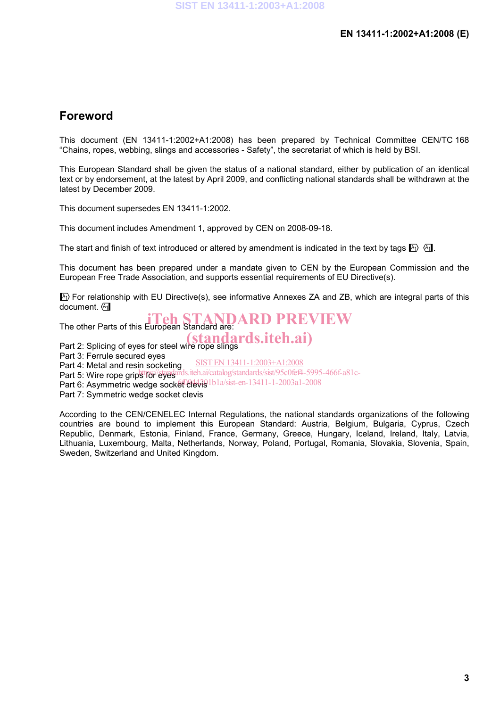## **Foreword**

This document (EN 13411-1:2002+A1:2008) has been prepared by Technical Committee CEN/TC 168 "Chains, ropes, webbing, slings and accessories - Safety", the secretariat of which is held by BSI.

This European Standard shall be given the status of a national standard, either by publication of an identical text or by endorsement, at the latest by April 2009, and conflicting national standards shall be withdrawn at the latest by December 2009.

This document supersedes EN 13411-1:2002.

This document includes Amendment 1, approved by CEN on 2008-09-18.

The start and finish of text introduced or altered by amendment is indicated in the text by tags  $\mathbb{F}_1$ .

This document has been prepared under a mandate given to CEN by the European Commission and the European Free Trade Association, and supports essential requirements of EU Directive(s).

 $\ket{\mathbb{A}}$  For relationship with EU Directive(s), see informative Annexes ZA and ZB, which are integral parts of this document.  $(A<sub>1</sub>)$ 

The other Parts of this European Standard are: **ARD PREVIEW** Part 2: Splicing of eyes for steel wire rope slings Part 3: Ferrule secured eyes Part 4: Metal and resin socketing Part 5: Wire rope grips for eyes and iteh.ai/catalog/standards/sist/95c0fef4-5995-466f-a81c-Part 6: Asymmetric wedge socket clevis 1b1a/sist-en-13411-1-2003a1-2008 Part 7: Symmetric wedge socket clevis (standards.iteh.ai) SIST EN 13411-1:2003+A1:2008

According to the CEN/CENELEC Internal Regulations, the national standards organizations of the following countries are bound to implement this European Standard: Austria, Belgium, Bulgaria, Cyprus, Czech Republic, Denmark, Estonia, Finland, France, Germany, Greece, Hungary, Iceland, Ireland, Italy, Latvia, Lithuania, Luxembourg, Malta, Netherlands, Norway, Poland, Portugal, Romania, Slovakia, Slovenia, Spain, Sweden, Switzerland and United Kingdom.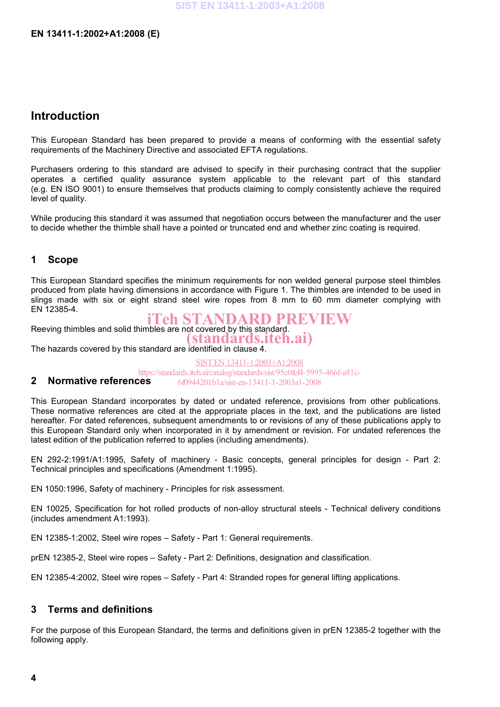### **Introduction**

This European Standard has been prepared to provide a means of conforming with the essential safety requirements of the Machinery Directive and associated EFTA regulations.

Purchasers ordering to this standard are advised to specify in their purchasing contract that the supplier operates a certified quality assurance system applicable to the relevant part of this standard (e.g. EN ISO 9001) to ensure themselves that products claiming to comply consistently achieve the required level of quality.

While producing this standard it was assumed that negotiation occurs between the manufacturer and the user to decide whether the thimble shall have a pointed or truncated end and whether zinc coating is required.

#### **1 Scope**

This European Standard specifies the minimum requirements for non welded general purpose steel thimbles produced from plate having dimensions in accordance with Figure 1. The thimbles are intended to be used in slings made with six or eight strand steel wire ropes from 8 mm to 60 mm diameter complying with EN 12385-4.

Reeving thimbles and solid thimbles are not covered by this standard. iTeh STANDARD PREVIEW

(standards.iteh.ai)

The hazards covered by this standard are identified in clause 4.

SIST EN 13411-1:2003+A1:2008 https://standards.iteh.ai/catalog/standards/sist/95c0fef4-5995-466f-a81c-6f0944201b1a/sist-en-13411-1-2003a1-2008

## **2 Normative references**

This European Standard incorporates by dated or undated reference, provisions from other publications. These normative references are cited at the appropriate places in the text, and the publications are listed hereafter. For dated references, subsequent amendments to or revisions of any of these publications apply to this European Standard only when incorporated in it by amendment or revision. For undated references the latest edition of the publication referred to applies (including amendments).

EN 292-2:1991/A1:1995, Safety of machinery - Basic concepts, general principles for design - Part 2: Technical principles and specifications (Amendment 1:1995).

EN 1050:1996, Safety of machinery - Principles for risk assessment.

EN 10025, Specification for hot rolled products of non-alloy structural steels - Technical delivery conditions (includes amendment A1:1993).

EN 12385-1:2002, Steel wire ropes – Safety - Part 1: General requirements.

prEN 12385-2, Steel wire ropes – Safety - Part 2: Definitions, designation and classification.

EN 12385-4:2002, Steel wire ropes – Safety - Part 4: Stranded ropes for general lifting applications.

#### **3 Terms and definitions**

For the purpose of this European Standard, the terms and definitions given in prEN 12385-2 together with the following apply.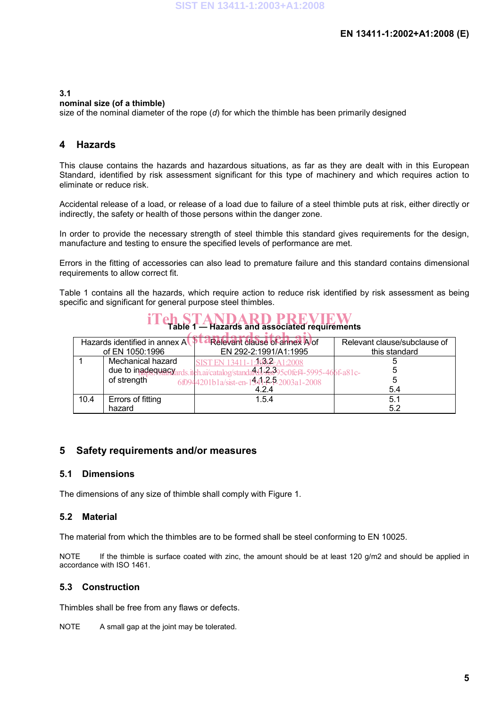#### **3.1**

#### **nominal size (of a thimble)**

size of the nominal diameter of the rope (*d*) for which the thimble has been primarily designed

#### **4 Hazards**

This clause contains the hazards and hazardous situations, as far as they are dealt with in this European Standard, identified by risk assessment significant for this type of machinery and which requires action to eliminate or reduce risk.

Accidental release of a load, or release of a load due to failure of a steel thimble puts at risk, either directly or indirectly, the safety or health of those persons within the danger zone.

In order to provide the necessary strength of steel thimble this standard gives requirements for the design, manufacture and testing to ensure the specified levels of performance are met.

Errors in the fitting of accessories can also lead to premature failure and this standard contains dimensional requirements to allow correct fit.

Table 1 contains all the hazards, which require action to reduce risk identified by risk assessment as being specific and significant for general purpose steel thimbles.

# **THE STANDARD PREVIEW**

| Hazards identified in annex $A \rightarrow$ |                   | Relevant clause of annex A of                          | Relevant clause/subclause of |  |  |  |
|---------------------------------------------|-------------------|--------------------------------------------------------|------------------------------|--|--|--|
| of EN 1050:1996                             |                   | EN 292-2:1991/A1:1995                                  | this standard                |  |  |  |
|                                             | Mechanical hazard | SIST EN 13411-1:2003-A1:2008                           |                              |  |  |  |
|                                             | due to inadequacy | .iteh.ai/catalog/standard3/3s995c0fef4-5995-466f-a81c- |                              |  |  |  |
|                                             | of strength       | 6f0944201b1a/sist-en-1441 ?- P-2003a1-2008             |                              |  |  |  |
|                                             |                   | 4.2.4                                                  | 5.4                          |  |  |  |
| 10.4                                        | Errors of fitting | 1.5.4                                                  | 5.1                          |  |  |  |
|                                             | hazard            |                                                        | 5.2                          |  |  |  |

#### **5 Safety requirements and/or measures**

#### **5.1 Dimensions**

The dimensions of any size of thimble shall comply with Figure 1.

#### **5.2 Material**

The material from which the thimbles are to be formed shall be steel conforming to EN 10025.

NOTE If the thimble is surface coated with zinc, the amount should be at least 120 g/m2 and should be applied in accordance with ISO 1461.

#### **5.3 Construction**

Thimbles shall be free from any flaws or defects.

NOTE A small gap at the joint may be tolerated.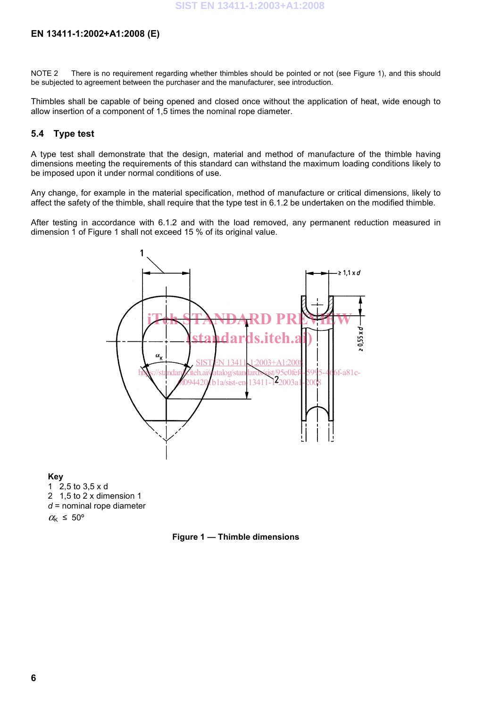#### **EN 13411-1:2002+A1:2008 (E)**

NOTE 2 There is no requirement regarding whether thimbles should be pointed or not (see Figure 1), and this should be subjected to agreement between the purchaser and the manufacturer, see introduction.

Thimbles shall be capable of being opened and closed once without the application of heat, wide enough to allow insertion of a component of 1,5 times the nominal rope diameter.

#### **5.4 Type test**

A type test shall demonstrate that the design, material and method of manufacture of the thimble having dimensions meeting the requirements of this standard can withstand the maximum loading conditions likely to be imposed upon it under normal conditions of use.

Any change, for example in the material specification, method of manufacture or critical dimensions, likely to affect the safety of the thimble, shall require that the type test in 6.1.2 be undertaken on the modified thimble.

After testing in accordance with 6.1.2 and with the load removed, any permanent reduction measured in dimension 1 of Figure 1 shall not exceed 15 % of its original value.



**Key** 

1 2,5 to 3,5 x d 2 1,5 to 2 x dimension 1 *d* = nominal rope diameter  $\alpha_{\rm K} \leq 50^{\circ}$